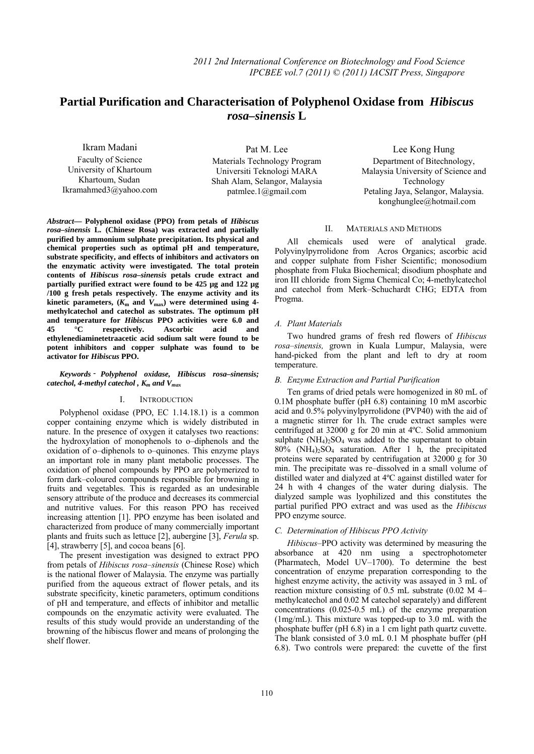# **Partial Purification and Characterisation of Polyphenol Oxidase from** *Hibiscus rosa–sinensis* **L**

Ikram Madani Faculty of Science University of Khartoum Khartoum, Sudan Ikramahmed3@yahoo.com

Pat M. Lee Materials Technology Program Universiti Teknologi MARA Shah Alam, Selangor, Malaysia patmlee.1@gmail.com

Lee Kong Hung Department of Bitechnology, Malaysia University of Science and Technology Petaling Jaya, Selangor, Malaysia. konghunglee@hotmail.com

*Abstract***— Polyphenol oxidase (PPO) from petals of** *Hibiscus rosa–sinensis* **L***.* **(Chinese Rosa) was extracted and partially purified by ammonium sulphate precipitation. Its physical and chemical properties such as optimal pH and temperature, substrate specificity, and effects of inhibitors and activators on the enzymatic activity were investigated. The total protein contents of** *Hibiscus rosa–sinensis* **petals crude extract and partially purified extract were found to be 425 µg and 122 µg /100 g fresh petals respectively. The enzyme activity and its**  kinetic parameters,  $(K_m \text{ and } V_{\text{max}})$  were determined using 4**methylcatechol and catechol as substrates. The optimum pH and temperature for** *Hibiscus* **PPO activities were 6.0 and 45 °C respectively. Ascorbic acid and ethylenediaminetetraacetic acid sodium salt were found to be potent inhibitors and copper sulphate was found to be activator for** *Hibiscus* **PPO.** 

## *catechol, 4-methyl catechol , Km and Vmax Keywords - Polyphenol oxidase, Hibiscus rosa–sinensis;*

# I. INTRODUCTION

Polyphenol oxidase (PPO, EC 1.14.18.1) is a common copper containing enzyme which is widely distributed in nature. In the presence of oxygen it catalyses two reactions: the hydroxylation of monophenols to o–diphenols and the oxidation of o–diphenols to o–quinones. This enzyme plays an important role in many plant metabolic processes. The oxidation of phenol compounds by PPO are polymerized to form dark–coloured compounds responsible for browning in fruits and vegetables. This is regarded as an undesirable sensory attribute of the produce and decreases its commercial and nutritive values. For this reason PPO has received increasing attention [1]. PPO enzyme has been isolated and characterized from produce of many commercially important plants and fruits such as lettuce [2], aubergine [3], *Ferula* sp. [4], strawberry [5], and cocoa beans [6].

The present investigation was designed to extract PPO from petals of *Hibiscus rosa–sinensis* (Chinese Rose) which is the national flower of Malaysia. The enzyme was partially purified from the aqueous extract of flower petals, and its substrate specificity, kinetic parameters, optimum conditions of pH and temperature, and effects of inhibitor and metallic compounds on the enzymatic activity were evaluated. The results of this study would provide an understanding of the browning of the hibiscus flower and means of prolonging the shelf flower.

## II. MATERIALS AND METHODS

All chemicals used were of analytical grade. Polyvinylpyrrolidone from Acros Organics; ascorbic acid and copper sulphate from Fisher Scientific; monosodium phosphate from Fluka Biochemical; disodium phosphate and iron III chloride from Sigma Chemical Co; 4-methylcatechol and catechol from Merk–Schuchardt CHG; EDTA from Progma.

## *A. Plant Materials*

Two hundred grams of fresh red flowers of *Hibiscus rosa–sinensis,* grown in Kuala Lumpur, Malaysia, were hand-picked from the plant and left to dry at room temperature.

## *B. Enzyme Extraction and Partial Purification*

Ten grams of dried petals were homogenized in 80 mL of 0.1M phosphate buffer (pH 6.8) containing 10 mM ascorbic acid and 0.5% polyvinylpyrrolidone (PVP40) with the aid of a magnetic stirrer for 1h. The crude extract samples were centrifuged at 32000 g for 20 min at 4ºC. Solid ammonium sulphate  $(NH_4)$ <sub>2</sub>SO<sub>4</sub> was added to the supernatant to obtain  $80\%$  (NH<sub>4</sub>)<sub>2</sub>SO<sub>4</sub> saturation. After 1 h, the precipitated proteins were separated by centrifugation at 32000 g for 30 min. The precipitate was re–dissolved in a small volume of distilled water and dialyzed at 4ºC against distilled water for 24 h with 4 changes of the water during dialysis. The dialyzed sample was lyophilized and this constitutes the partial purified PPO extract and was used as the *Hibiscus* PPO enzyme source.

## *C. Determination of Hibiscus PPO Activity*

*Hibiscus*–PPO activity was determined by measuring the absorbance at 420 nm using a spectrophotometer (Pharmatech, Model UV–1700). To determine the best concentration of enzyme preparation corresponding to the highest enzyme activity, the activity was assayed in 3 mL of reaction mixture consisting of 0.5 mL substrate (0.02 M 4– methylcatechol and 0.02 M catechol separately) and different concentrations (0.025-0.5 mL) of the enzyme preparation (1mg/mL). This mixture was topped-up to 3.0 mL with the phosphate buffer (pH 6.8) in a 1 cm light path quartz cuvette. The blank consisted of 3.0 mL 0.1 M phosphate buffer (pH 6.8). Two controls were prepared: the cuvette of the first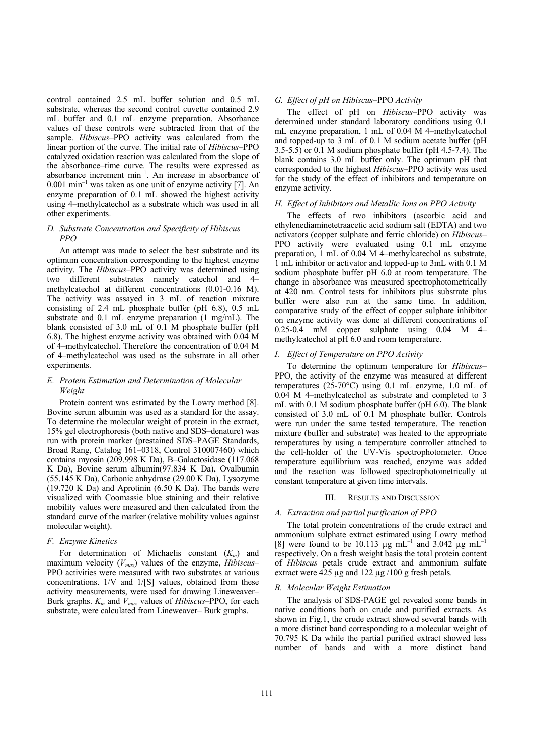control contained 2.5 mL buffer solution and 0.5 mL substrate, whereas the second control cuvette contained 2.9 mL buffer and 0.1 mL enzyme preparation. Absorbance values of these controls were subtracted from that of the sample. *Hibiscus–*PPO activity was calculated from the linear portion of the curve. The initial rate of *Hibiscus–*PPO catalyzed oxidation reaction was calculated from the slope of the absorbance–time curve. The results were expressed as absorbance increment min–1. An increase in absorbance of  $0.001$  min<sup>-1</sup> was taken as one unit of enzyme activity [7]. An enzyme preparation of 0.1 mL showed the highest activity using 4–methylcatechol as a substrate which was used in all other experiments.

# *D. Substrate Concentration and Specificity of Hibiscus PPO*

An attempt was made to select the best substrate and its optimum concentration corresponding to the highest enzyme activity. The *Hibiscus*–PPO activity was determined using two different substrates namely catechol and 4– methylcatechol at different concentrations (0.01-0.16 M). The activity was assayed in 3 mL of reaction mixture consisting of 2.4 mL phosphate buffer (pH 6.8), 0.5 mL substrate and 0.1 mL enzyme preparation (1 mg/mL). The blank consisted of 3.0 mL of 0.1 M phosphate buffer (pH 6.8). The highest enzyme activity was obtained with 0.04 M of 4–methylcatechol. Therefore the concentration of 0.04 M of 4–methylcatechol was used as the substrate in all other experiments.

# *E. Protein Estimation and Determination of Molecular Weight*

Protein content was estimated by the Lowry method [8]. Bovine serum albumin was used as a standard for the assay. To determine the molecular weight of protein in the extract, 15% gel electrophoresis (both native and SDS–denature) was run with protein marker (prestained SDS–PAGE Standards, Broad Rang, Catalog 161–0318, Control 310007460) which contains myosin (209.998 K Da), B–Galactosidase (117.068 K Da), Bovine serum albumin(97.834 K Da), Ovalbumin (55.145 K Da), Carbonic anhydrase (29.00 K Da), Lysozyme (19.720 K Da) and Aprotinin (6.50 K Da). The bands were visualized with Coomassie blue staining and their relative mobility values were measured and then calculated from the standard curve of the marker (relative mobility values against molecular weight).

## *F. Enzyme Kinetics*

For determination of Michaelis constant (*Km*) and maximum velocity (*Vmax*) values of the enzyme, *Hibiscus–* PPO activities were measured with two substrates at various concentrations. 1/V and 1/[S] values, obtained from these activity measurements, were used for drawing Lineweaver– Burk graphs.  $K_m$  and  $V_{max}$  values of *Hibiscus*–PPO, for each substrate, were calculated from Lineweaver– Burk graphs.

## *G. Effect of pH on Hibiscus–*PPO *Activity*

The effect of pH on *Hibiscus*–PPO activity was determined under standard laboratory conditions using 0.1 mL enzyme preparation, 1 mL of 0.04 M 4–methylcatechol and topped-up to 3 mL of 0.1 M sodium acetate buffer (pH 3.5-5.5) or 0.1 M sodium phosphate buffer (pH 4.5-7.4). The blank contains 3.0 mL buffer only. The optimum pH that corresponded to the highest *Hibiscus*–PPO activity was used for the study of the effect of inhibitors and temperature on enzyme activity.

## *H. Effect of Inhibitors and Metallic Ions on PPO Activity*

The effects of two inhibitors (ascorbic acid and ethylenediaminetetraacetic acid sodium salt (EDTA) and two activators (copper sulphate and ferric chloride) on *Hibiscus*– PPO activity were evaluated using 0.1 mL enzyme preparation, 1 mL of 0.04 M 4–methylcatechol as substrate, 1 mL inhibitor or activator and topped-up to 3mL with 0.1 M sodium phosphate buffer pH 6.0 at room temperature. The change in absorbance was measured spectrophotometrically at 420 nm. Control tests for inhibitors plus substrate plus buffer were also run at the same time. In addition, comparative study of the effect of copper sulphate inhibitor on enzyme activity was done at different concentrations of 0.25-0.4 mM copper sulphate using 0.04 M 4– methylcatechol at pH 6.0 and room temperature.

#### *I. Effect of Temperature on PPO Activity*

To determine the optimum temperature for *Hibiscus*– PPO, the activity of the enzyme was measured at different temperatures (25-70°C) using 0.1 mL enzyme, 1.0 mL of 0.04 M 4–methylcatechol as substrate and completed to 3 mL with 0.1 M sodium phosphate buffer (pH 6.0). The blank consisted of 3.0 mL of 0.1 M phosphate buffer. Controls were run under the same tested temperature. The reaction mixture (buffer and substrate) was heated to the appropriate temperatures by using a temperature controller attached to the cell-holder of the UV-Vis spectrophotometer. Once temperature equilibrium was reached, enzyme was added and the reaction was followed spectrophotometrically at constant temperature at given time intervals.

## III. RESULTS AND DISCUSSION

## *A. Extraction and partial purification of PPO*

The total protein concentrations of the crude extract and ammonium sulphate extract estimated using Lowry method [8] were found to be 10.113  $\mu$ g mL<sup>-1</sup> and 3.042  $\mu$ g mL<sup>-1</sup> respectively. On a fresh weight basis the total protein content of *Hibiscus* petals crude extract and ammonium sulfate extract were  $\overline{425}$  µg and  $122 \mu$ g /100 g fresh petals.

#### *B. Molecular Weight Estimation*

The analysis of SDS-PAGE gel revealed some bands in native conditions both on crude and purified extracts. As shown in Fig.1, the crude extract showed several bands with a more distinct band corresponding to a molecular weight of 70.795 K Da while the partial purified extract showed less number of bands and with a more distinct band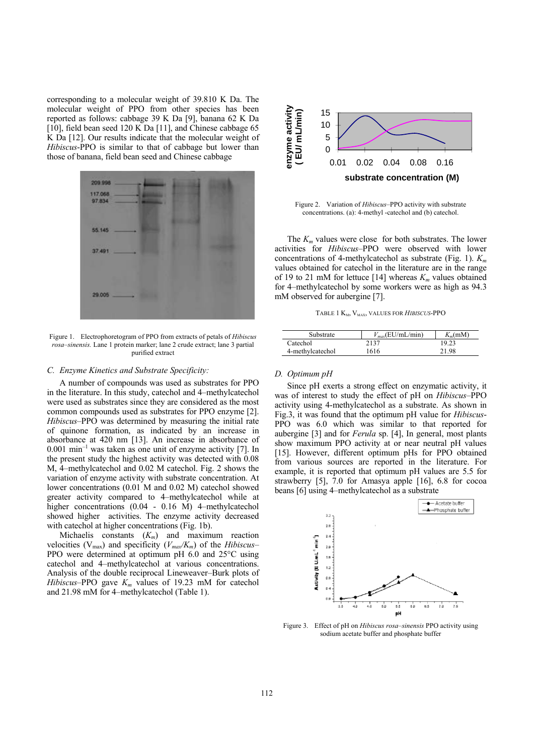corresponding to a molecular weight of 39.810 K Da. The molecular weight of PPO from other species has been reported as follows: cabbage 39 K Da [9], banana 62 K Da [10], field bean seed 120 K Da [11], and Chinese cabbage 65 K Da [12]. Our results indicate that the molecular weight of *Hibiscus*-PPO is similar to that of cabbage but lower than those of banana, field bean seed and Chinese cabbage



Figure 1. Electrophoretogram of PPO from extracts of petals of *Hibiscus rosa–sinensis.* Lane 1 protein marker; lane 2 crude extract; lane 3 partial purified extract

#### *C. Enzyme Kinetics and Substrate Specificity:*

A number of compounds was used as substrates for PPO in the literature. In this study, catechol and 4–methylcatechol were used as substrates since they are considered as the most common compounds used as substrates for PPO enzyme [2]. *Hibiscus–*PPO was determined by measuring the initial rate of quinone formation, as indicated by an increase in absorbance at 420 nm [13]. An increase in absorbance of  $0.001$  min<sup>-1</sup> was taken as one unit of enzyme activity [7]. In the present study the highest activity was detected with 0.08 M, 4–methylcatechol and 0.02 M catechol. Fig. 2 shows the variation of enzyme activity with substrate concentration. At lower concentrations (0.01 M and 0.02 M) catechol showed greater activity compared to 4–methylcatechol while at higher concentrations (0.04 - 0.16 M) 4–methylcatechol showed higher activities. The enzyme activity decreased with cate chol at higher concentrations (Fig. 1b).

Michaelis constants (*Km*) and maximum reaction velocities ( $V_{\text{max}}$ ) and specificity ( $V_{\text{max}}/K_m$ ) of the *Hibiscus*– PPO were determined at optimum pH 6.0 and 25°C using catechol and 4–methylcatechol at various concentrations. Analysis of the double reciprocal Lineweaver–Burk plots of *Hibiscus*–PPO gave  $K_m$  values of 19.23 mM for catechol and 21.98 mM for 4–methylcatechol (Table 1).



Figure 2. Variation of *Hibiscus–*PPO activity with substrate concentrations. (a): 4-methyl -catechol and (b) catechol.

The  $K<sub>m</sub>$  values were close for both substrates. The lower activities for *Hibiscus*–PPO were observed with lower concentrations of 4-methylcatechol as substrate (Fig. 1). *Km* values obtained for catechol in the literature are in the range of 19 to 21 mM for lettuce [14] whereas  $K_m$  values obtained for 4–methylcatechol by some workers were as high as 94.3 mM observed for aubergine [7].

TABLE 1 K<sub>M</sub>, V<sub>MAX</sub>, VALUES FOR *HIBISCUS*-PPO

| Substrate        | $V_{max}$ (EU/mL/min) | $K_m(mM)$ |
|------------------|-----------------------|-----------|
| Catechol         | 2137                  | 19.23     |
| 4-methylcatechol | 1616                  | 21.98     |

#### *D. Optimum pH*

Since pH exerts a strong effect on enzymatic activity, it was of interest to study the effect of pH on *Hibiscus–*PPO activity using 4-methylcatechol as a substrate. As shown in Fig.3, it was found that the optimum pH value for *Hibiscus*-PPO was 6.0 which was similar to that reported for aubergine [3] and for *Ferula* sp. [4], In general, most plants show maximum PPO activity at or near neutral pH values [15]. However, different optimum pHs for PPO obtained from various sources are reported in the literature. For example, it is reported that optimum pH values are 5.5 for strawberry [5], 7.0 for Amasya apple [16], 6.8 for cocoa beans [6] using 4–methylcatechol as a substrate



Figure 3. Effect of pH on *Hibiscus rosa–sinensis* PPO activity using sodium acetate buffer and phosphate buffer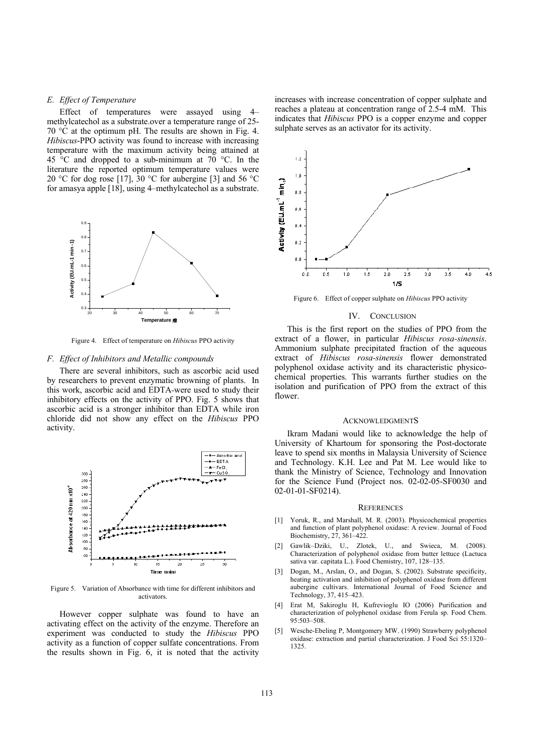#### *E. Effect of Temperature*

Effect of temperatures were assayed using 4– methylcatechol as a substrate.over a temperature range of 25- 70 °C at the optimum pH. The results are shown in Fig. 4. *Hibiscus*-PPO activity was found to increase with increasing temperature with the maximum activity being attained at 45  $\degree$ C and dropped to a sub-minimum at 70  $\degree$ C. In the literature the reported optimum temperature values were 20 °C for dog rose [17], 30 °C for aubergine [3] and 56 °C for amasya apple [18], using 4–methylcatechol as a substrate.



Figure 4. Effect of temperature on *Hibiscus* PPO activity

#### *F. Effect of Inhibitors and Metallic compounds*

There are several inhibitors, such as ascorbic acid used by researchers to prevent enzymatic browning of plants. In this work, ascorbic acid and EDTA were used to study their inhibitory effects on the activity of PPO. Fig. 5 shows that ascorbic acid is a stronger inhibitor than EDTA while iron chloride did not show any effect on the *Hibiscus* PPO activity.



Figure 5. Variation of Absorbance with time for different inhibitors and activators.

However copper sulphate was found to have an activating effect on the activity of the enzyme. Therefore an experiment was conducted to study the *Hibiscus* PPO activity as a function of copper sulfate concentrations. From the results shown in Fig. 6, it is noted that the activity

increases with increase concentration of copper sulphate and reaches a plateau at concentration range of 2.5-4 mM. This indicates that *Hibiscus* PPO is a copper enzyme and copper sulphate serves as an activator for its activity.



Figure 6. Effect of copper sulphate on *Hibiscus* PPO activity

#### IV. CONCLUSION

This is the first report on the studies of PPO from the extract of a flower, in particular *Hibiscus rosa-sinensis*. Ammonium sulphate precipitated fraction of the aqueous extract of *Hibiscus rosa-sinensis* flower demonstrated polyphenol oxidase activity and its characteristic physicochemical properties. This warrants further studies on the isolation and purification of PPO from the extract of this flower.

#### ACKNOWLEDGMENTS

Ikram Madani would like to acknowledge the help of University of Khartoum for sponsoring the Post-doctorate leave to spend six months in Malaysia University of Science and Technology. K.H. Lee and Pat M. Lee would like to thank the Ministry of Science, Technology and Innovation for the Science Fund (Project nos. 02-02-05-SF0030 and 02-01-01-SF0214).

#### **REFERENCES**

- [1] Yoruk, R., and Marshall, M. R. (2003). Physicochemical properties and function of plant polyphenol oxidase: A review. Journal of Food Biochemistry, 27, 361–422.
- [2] Gawlik–Dziki, U., Zlotek, U., and Swieca, M. (2008). Characterization of polyphenol oxidase from butter lettuce (Lactuca sativa var. capitata L.). Food Chemistry, 107, 128–135.
- [3] Dogan, M., Arslan, O., and Dogan, S. (2002). Substrate specificity, heating activation and inhibition of polyphenol oxidase from different aubergine cultivars. International Journal of Food Science and Technology, 37, 415–423.
- [4] Erat M, Sakiroglu H, Kufrevioglu IO (2006) Purification and characterization of polyphenol oxidase from Ferula sp. Food Chem. 95:503–508.
- [5] Wesche-Ebeling P, Montgomery MW. (1990) Strawberry polyphenol oxidase: extraction and partial characterization. J Food Sci 55:1320– 1325.